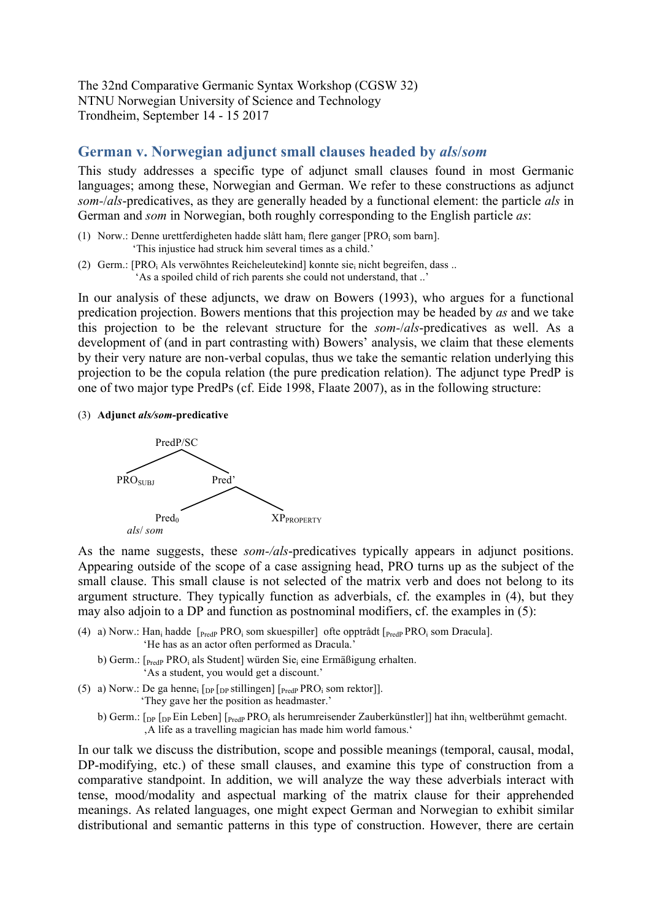The 32nd Comparative Germanic Syntax Workshop (CGSW 32) NTNU Norwegian University of Science and Technology Trondheim, September 14 - 15 2017

## **German v. Norwegian adjunct small clauses headed by** *als***/***som*

This study addresses a specific type of adjunct small clauses found in most Germanic languages; among these, Norwegian and German. We refer to these constructions as adjunct *som-*/*als*-predicatives, as they are generally headed by a functional element: the particle *als* in German and *som* in Norwegian, both roughly corresponding to the English particle *as*:

- (1) Norw.: Denne urettferdigheten hadde slått ham<sub>i</sub> flere ganger [PRO<sub>i</sub> som barn]. 'This injustice had struck him several times as a child.'
- (2) Germ.: [PRO<sub>i</sub> Als verwöhntes Reicheleutekind] konnte sie<sub>i</sub> nicht begreifen, dass ... 'As a spoiled child of rich parents she could not understand, that ..'

In our analysis of these adjuncts, we draw on Bowers (1993), who argues for a functional predication projection. Bowers mentions that this projection may be headed by *as* and we take this projection to be the relevant structure for the *som-*/*als*-predicatives as well. As a development of (and in part contrasting with) Bowers' analysis, we claim that these elements by their very nature are non-verbal copulas, thus we take the semantic relation underlying this projection to be the copula relation (the pure predication relation). The adjunct type PredP is one of two major type PredPs (cf. Eide 1998, Flaate 2007), as in the following structure:

(3) **Adjunct** *als/som-***predicative**



As the name suggests, these *som-/als*-predicatives typically appears in adjunct positions. Appearing outside of the scope of a case assigning head, PRO turns up as the subject of the small clause. This small clause is not selected of the matrix verb and does not belong to its argument structure. They typically function as adverbials, cf. the examples in (4), but they may also adjoin to a DP and function as postnominal modifiers, cf. the examples in (5):

- (4) a) Norw.: Han<sub>i</sub> hadde  $[$ <sub>PredP</sub> PRO<sub>i</sub> som skuespiller] ofte opptrådt  $[$ <sub>PredP</sub> PRO<sub>i</sub> som Dracula]. 'He has as an actor often performed as Dracula.'
	- b) Germ.: [PredP PRO<sub>i</sub> als Student] würden Sie<sub>i</sub> eine Ermäßigung erhalten. 'As a student, you would get a discount.'
- (5) a) Norw.: De ga henne<sub>i</sub>  $\lceil_{DP} \rceil_{DP}$  stillingen]  $\lceil_{Pred} \rceil_{P}$  PRO<sub>i</sub> som rektor]]. 'They gave her the position as headmaster.'
	- b) Germ.:  $\lceil_{\text{DP}} \rceil$   $\lceil_{\text{DP}} \rceil$  Ein Leben]  $\lceil_{\text{Pred}} \rceil$   $\lceil_{\text{Pred}} \rceil$   $\lceil_{\text{PPC}} \rceil$  als herumreisender Zauberkünstler]] hat ihn<sub>i</sub> weltberühmt gemacht. 'A life as a travelling magician has made him world famous.'

In our talk we discuss the distribution, scope and possible meanings (temporal, causal, modal, DP-modifying, etc.) of these small clauses, and examine this type of construction from a comparative standpoint. In addition, we will analyze the way these adverbials interact with tense, mood/modality and aspectual marking of the matrix clause for their apprehended meanings. As related languages, one might expect German and Norwegian to exhibit similar distributional and semantic patterns in this type of construction. However, there are certain